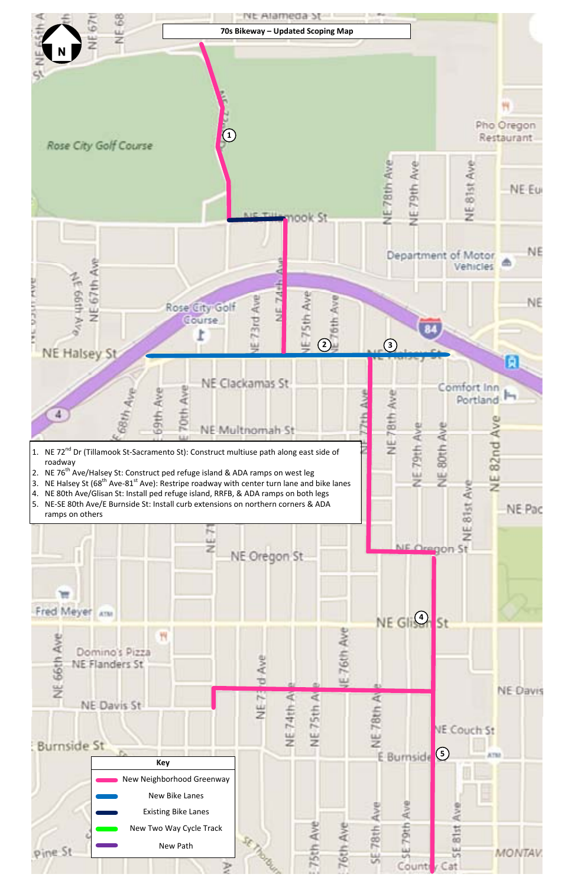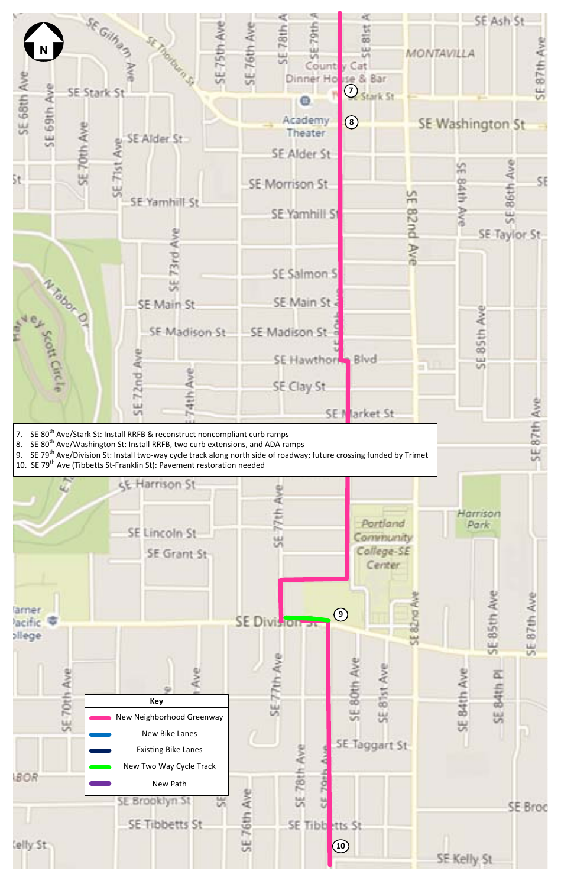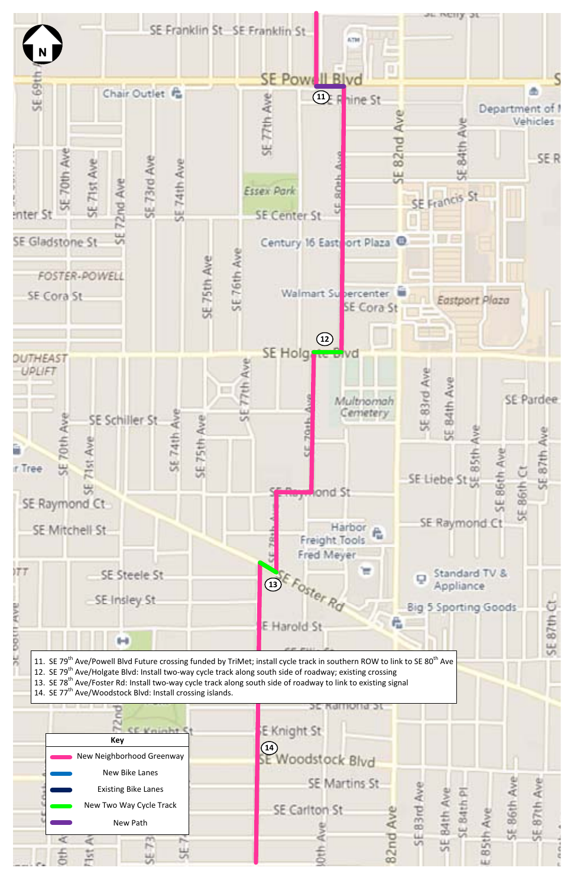

11. SE 79<sup>th</sup> Ave/Powell Blvd Future crossing funded by TriMet; install cycle track in southern ROW to link to SE 80<sup>th</sup> Ave 12. SE 79<sup>th</sup> Ave/Holgate Blvd: Install two-way cycle track along south side of roadway; existing crossing 13. SE 78<sup>th</sup> Ave/Foster Rd: Install two-way cycle track along south side of roadway to link to existing signal 14. SE 77<sup>th</sup> Ave/Woodstock Blvd: Install crossing islands.